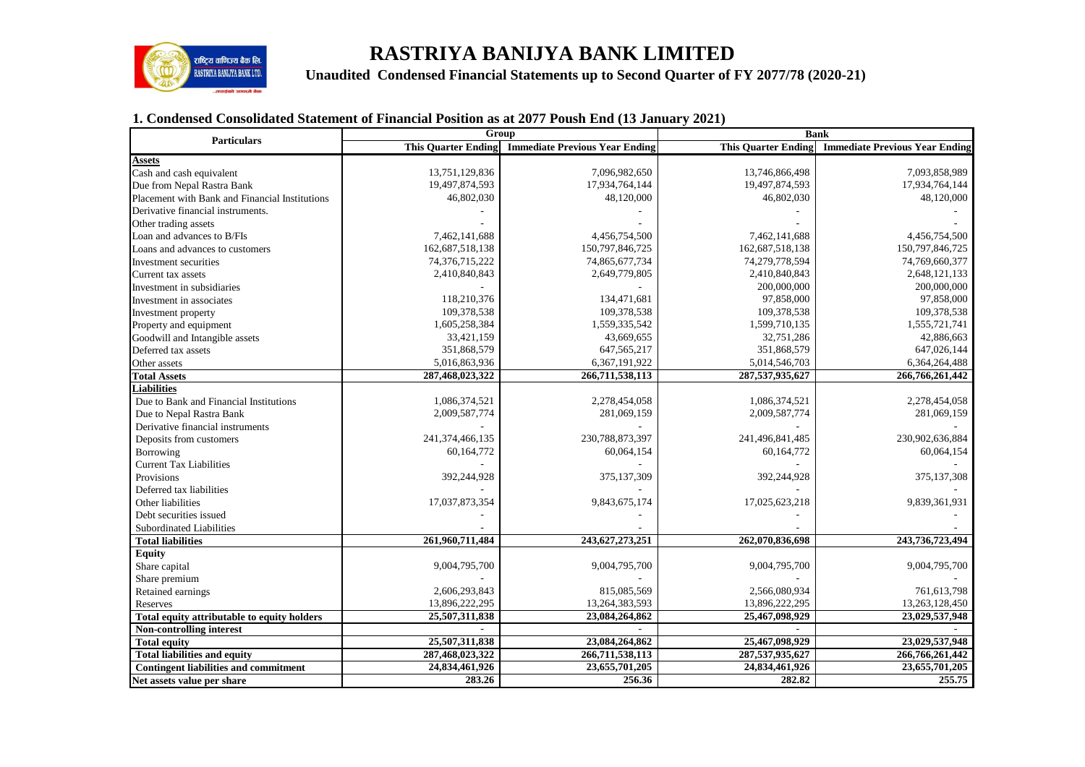

# **RASTRIYA BANIJYA BANK LIMITED**

**RISTRITA BANDITA BANDITED Unaudited Condensed Financial Statements up to Second Quarter of FY 2077/78 (2020-21)** 

# **1. Condensed Consolidated Statement of Financial Position as at 2077 Poush End (13 January 2021)**

| <b>Particulars</b>                             |                            | Group                                 | <b>Bank</b>                |                                       |  |  |
|------------------------------------------------|----------------------------|---------------------------------------|----------------------------|---------------------------------------|--|--|
|                                                | <b>This Quarter Ending</b> | <b>Immediate Previous Year Ending</b> | <b>This Quarter Ending</b> | <b>Immediate Previous Year Ending</b> |  |  |
| Assets                                         |                            |                                       |                            |                                       |  |  |
| Cash and cash equivalent                       | 13,751,129,836             | 7,096,982,650                         | 13,746,866,498             | 7,093,858,989                         |  |  |
| Due from Nepal Rastra Bank                     | 19,497,874,593             | 17,934,764,144                        | 19,497,874,593             | 17,934,764,144                        |  |  |
| Placement with Bank and Financial Institutions | 46,802,030                 | 48,120,000                            | 46,802,030                 | 48,120,000                            |  |  |
| Derivative financial instruments.              |                            |                                       |                            |                                       |  |  |
| Other trading assets                           |                            |                                       |                            |                                       |  |  |
| Loan and advances to B/FIs                     | 7,462,141,688              | 4,456,754,500                         | 7,462,141,688              | 4,456,754,500                         |  |  |
| Loans and advances to customers                | 162,687,518,138            | 150,797,846,725                       | 162,687,518,138            | 150,797,846,725                       |  |  |
| Investment securities                          | 74,376,715,222             | 74,865,677,734                        | 74,279,778,594             | 74,769,660,377                        |  |  |
| Current tax assets                             | 2,410,840,843              | 2,649,779,805                         | 2,410,840,843              | 2,648,121,133                         |  |  |
| Investment in subsidiaries                     |                            |                                       | 200,000,000                | 200,000,000                           |  |  |
| Investment in associates                       | 118,210,376                | 134,471,681                           | 97,858,000                 | 97,858,000                            |  |  |
| Investment property                            | 109,378,538                | 109,378,538                           | 109,378,538                | 109,378,538                           |  |  |
| Property and equipment                         | 1,605,258,384              | 1,559,335,542                         | 1,599,710,135              | 1,555,721,741                         |  |  |
| Goodwill and Intangible assets                 | 33,421,159                 | 43,669,655                            | 32,751,286                 | 42,886,663                            |  |  |
| Deferred tax assets                            | 351,868,579                | 647, 565, 217                         | 351,868,579                | 647,026,144                           |  |  |
| Other assets                                   | 5,016,863,936              | 6,367,191,922                         | 5,014,546,703              | 6,364,264,488                         |  |  |
| <b>Total Assets</b>                            | 287,468,023,322            | 266,711,538,113                       | 287,537,935,627            | 266,766,261,442                       |  |  |
| <b>Liabilities</b>                             |                            |                                       |                            |                                       |  |  |
| Due to Bank and Financial Institutions         | 1,086,374,521              | 2,278,454,058                         | 1,086,374,521              | 2,278,454,058                         |  |  |
| Due to Nepal Rastra Bank                       | 2,009,587,774              | 281,069,159                           | 2,009,587,774              | 281,069,159                           |  |  |
| Derivative financial instruments               |                            |                                       |                            |                                       |  |  |
| Deposits from customers                        | 241,374,466,135            | 230,788,873,397                       | 241,496,841,485            | 230,902,636,884                       |  |  |
| Borrowing                                      | 60,164,772                 | 60,064,154                            | 60,164,772                 | 60,064,154                            |  |  |
| <b>Current Tax Liabilities</b>                 |                            |                                       |                            |                                       |  |  |
| Provisions                                     | 392,244,928                | 375,137,309                           | 392,244,928                | 375, 137, 308                         |  |  |
| Deferred tax liabilities                       |                            |                                       |                            |                                       |  |  |
| Other liabilities                              | 17,037,873,354             | 9,843,675,174                         | 17,025,623,218             | 9,839,361,931                         |  |  |
| Debt securities issued                         |                            |                                       |                            |                                       |  |  |
| Subordinated Liabilities                       |                            |                                       |                            |                                       |  |  |
| <b>Total liabilities</b>                       | 261,960,711,484            | 243,627,273,251                       | 262,070,836,698            | 243,736,723,494                       |  |  |
| <b>Equity</b>                                  |                            |                                       |                            |                                       |  |  |
| Share capital                                  | 9,004,795,700              | 9,004,795,700                         | 9,004,795,700              | 9,004,795,700                         |  |  |
| Share premium                                  |                            |                                       |                            |                                       |  |  |
| Retained earnings                              | 2,606,293,843              | 815,085,569                           | 2,566,080,934              | 761,613,798                           |  |  |
| Reserves                                       | 13,896,222,295             | 13,264,383,593                        | 13,896,222,295             | 13,263,128,450                        |  |  |
| Total equity attributable to equity holders    | 25,507,311,838             | 23,084,264,862                        | 25,467,098,929             | 23,029,537,948                        |  |  |
| Non-controlling interest                       |                            |                                       |                            |                                       |  |  |
| <b>Total equity</b>                            | 25,507,311,838             | 23,084,264,862                        | 25,467,098,929             | 23,029,537,948                        |  |  |
| <b>Total liabilities and equity</b>            | 287,468,023,322            | 266,711,538,113                       | 287,537,935,627            | 266,766,261,442                       |  |  |
| <b>Contingent liabilities and commitment</b>   | 24,834,461,926             | 23,655,701,205                        | 24,834,461,926             | 23,655,701,205                        |  |  |
| Net assets value per share                     | 283.26                     | 256.36                                | 282.82                     | 255.75                                |  |  |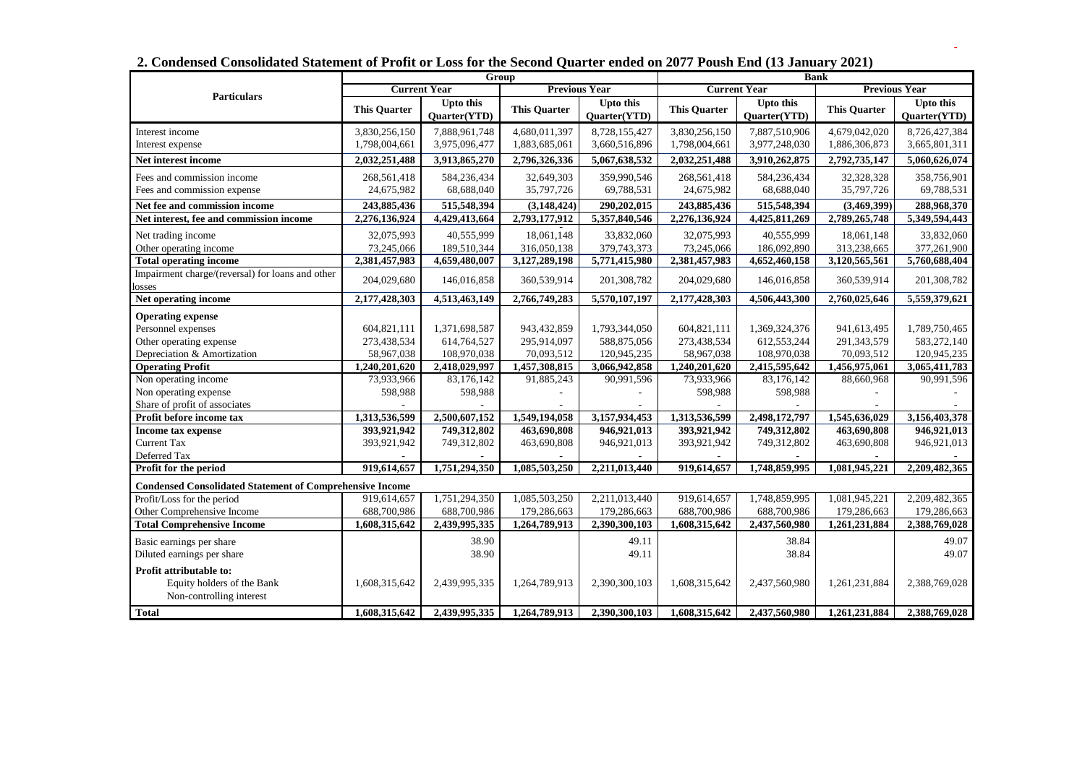|                                                                                   | Congensea Consongated Statement of Front of Loss for the Second Quarter enged on 2011 Foush Life (19 January 2021)<br><b>Group</b> |                                  |                      |                                  | <b>Bank</b>         |                                  |                      |                                  |
|-----------------------------------------------------------------------------------|------------------------------------------------------------------------------------------------------------------------------------|----------------------------------|----------------------|----------------------------------|---------------------|----------------------------------|----------------------|----------------------------------|
|                                                                                   | <b>Current Year</b>                                                                                                                |                                  | <b>Previous Year</b> |                                  | <b>Current Year</b> |                                  | <b>Previous Year</b> |                                  |
| <b>Particulars</b>                                                                | <b>This Quarter</b>                                                                                                                | <b>Upto this</b><br>Quarter(YTD) | <b>This Quarter</b>  | <b>Upto this</b><br>Quarter(YTD) | <b>This Quarter</b> | <b>Upto this</b><br>Quarter(YTD) | <b>This Quarter</b>  | <b>Upto this</b><br>Quarter(YTD) |
| Interest income                                                                   | 3,830,256,150                                                                                                                      | 7,888,961,748                    | 4,680,011,397        | 8,728,155,427                    | 3,830,256,150       | 7,887,510,906                    | 4,679,042,020        | 8,726,427,384                    |
| Interest expense                                                                  | 1,798,004,661                                                                                                                      | 3,975,096,477                    | 1,883,685,061        | 3,660,516,896                    | 1,798,004,661       | 3,977,248,030                    | 1,886,306,873        | 3,665,801,311                    |
| Net interest income                                                               | 2,032,251,488                                                                                                                      | 3,913,865,270                    | 2,796,326,336        | 5,067,638,532                    | 2,032,251,488       | 3,910,262,875                    | 2,792,735,147        | 5,060,626,074                    |
| Fees and commission income                                                        | 268,561,418                                                                                                                        | 584,236,434                      | 32,649,303           | 359,990,546                      | 268,561,418         | 584,236,434                      | 32,328,328           | 358,756,901                      |
| Fees and commission expense                                                       | 24,675,982                                                                                                                         | 68,688,040                       | 35,797,726           | 69,788,531                       | 24,675,982          | 68,688,040                       | 35,797,726           | 69,788,531                       |
| Net fee and commission income                                                     | 243,885,436                                                                                                                        | 515,548,394                      | (3, 148, 424)        | 290,202,015                      | 243,885,436         | 515,548,394                      | (3,469,399)          | 288,968,370                      |
| Net interest, fee and commission income                                           | 2,276,136,924                                                                                                                      | 4,429,413,664                    | 2,793,177,912        | 5,357,840,546                    | 2,276,136,924       | 4,425,811,269                    | 2,789,265,748        | 5,349,594,443                    |
| Net trading income                                                                | 32,075,993                                                                                                                         | 40,555,999                       | 18,061,148           | 33,832,060                       | 32,075,993          | 40,555,999                       | 18,061,148           | 33,832,060                       |
| Other operating income                                                            | 73,245,066                                                                                                                         | 189,510,344                      | 316,050,138          | 379,743,373                      | 73,245,066          | 186,092,890                      | 313,238,665          | 377,261,900                      |
| <b>Total operating income</b>                                                     | 2,381,457,983                                                                                                                      | 4,659,480,007                    | 3,127,289,198        | 5,771,415,980                    | 2,381,457,983       | 4,652,460,158                    | 3,120,565,561        | 5,760,688,404                    |
| Impairment charge/(reversal) for loans and other<br>osses                         | 204,029,680                                                                                                                        | 146,016,858                      | 360,539,914          | 201,308,782                      | 204,029,680         | 146,016,858                      | 360,539,914          | 201,308,782                      |
| Net operating income                                                              | 2,177,428,303                                                                                                                      | 4,513,463,149                    | 2,766,749,283        | 5,570,107,197                    | 2,177,428,303       | 4,506,443,300                    | 2,760,025,646        | 5,559,379,621                    |
| <b>Operating expense</b>                                                          |                                                                                                                                    |                                  |                      |                                  |                     |                                  |                      |                                  |
| Personnel expenses                                                                | 604,821,111                                                                                                                        | 1,371,698,587                    | 943,432,859          | 1,793,344,050                    | 604,821,111         | 1,369,324,376                    | 941,613,495          | 1,789,750,465                    |
| Other operating expense                                                           | 273,438,534                                                                                                                        | 614,764,527                      | 295,914,097          | 588,875,056                      | 273,438,534         | 612,553,244                      | 291,343,579          | 583,272,140                      |
| Depreciation & Amortization                                                       | 58,967,038                                                                                                                         | 108,970,038                      | 70,093,512           | 120,945,235                      | 58,967,038          | 108,970,038                      | 70,093,512           | 120,945,235                      |
| <b>Operating Profit</b>                                                           | 1,240,201,620                                                                                                                      | 2,418,029,997                    | 1,457,308,815        | 3,066,942,858                    | 1,240,201,620       | 2,415,595,642                    | 1,456,975,061        | 3,065,411,783                    |
| Non operating income                                                              | 73,933,966                                                                                                                         | 83,176,142                       | 91,885,243           | 90,991,596                       | 73,933,966          | 83,176,142                       | 88,660,968           | 90,991,596                       |
| Non operating expense                                                             | 598,988                                                                                                                            | 598,988                          |                      |                                  | 598,988             | 598,988                          |                      |                                  |
| Share of profit of associates                                                     |                                                                                                                                    |                                  |                      |                                  |                     |                                  |                      |                                  |
| Profit before income tax                                                          | 1,313,536,599                                                                                                                      | 2,500,607,152                    | 1,549,194,058        | 3,157,934,453                    | 1,313,536,599       | 2,498,172,797                    | 1,545,636,029        | 3,156,403,378                    |
| Income tax expense                                                                | 393,921,942                                                                                                                        | 749,312,802                      | 463,690,808          | 946,921,013                      | 393,921,942         | 749,312,802                      | 463,690,808          | 946,921,013                      |
| <b>Current Tax</b>                                                                | 393,921,942                                                                                                                        | 749,312,802                      | 463,690,808          | 946,921,013                      | 393,921,942         | 749,312,802                      | 463,690,808          | 946,921,013                      |
| Deferred Tax                                                                      |                                                                                                                                    |                                  |                      |                                  |                     |                                  |                      |                                  |
| Profit for the period                                                             | 919,614,657                                                                                                                        | 1,751,294,350                    | 1,085,503,250        | 2,211,013,440                    | 919,614,657         | 1,748,859,995                    | 1,081,945,221        | 2,209,482,365                    |
| <b>Condensed Consolidated Statement of Comprehensive Income</b>                   |                                                                                                                                    |                                  |                      |                                  |                     |                                  |                      |                                  |
| Profit/Loss for the period                                                        | 919,614,657                                                                                                                        | 1,751,294,350                    | 1,085,503,250        | 2,211,013,440                    | 919,614,657         | 1,748,859,995                    | 1,081,945,221        | 2,209,482,365                    |
| Other Comprehensive Income                                                        | 688,700,986                                                                                                                        | 688,700,986                      | 179,286,663          | 179,286,663                      | 688,700,986         | 688,700,986                      | 179,286,663          | 179,286,663                      |
| <b>Total Comprehensive Income</b>                                                 | 1,608,315,642                                                                                                                      | 2,439,995,335                    | 1,264,789,913        | 2,390,300,103                    | 1,608,315,642       | 2,437,560,980                    | 1,261,231,884        | 2,388,769,028                    |
| Basic earnings per share                                                          |                                                                                                                                    | 38.90<br>38.90                   |                      | 49.11<br>49.11                   |                     | 38.84<br>38.84                   |                      | 49.07<br>49.07                   |
| Diluted earnings per share                                                        |                                                                                                                                    |                                  |                      |                                  |                     |                                  |                      |                                  |
| Profit attributable to:<br>Equity holders of the Bank<br>Non-controlling interest | 1,608,315,642                                                                                                                      | 2,439,995,335                    | 1,264,789,913        | 2,390,300,103                    | 1,608,315,642       | 2,437,560,980                    | 1,261,231,884        | 2,388,769,028                    |
| <b>Total</b>                                                                      | 1,608,315,642                                                                                                                      | 2,439,995,335                    | 1,264,789,913        | 2,390,300,103                    | 1,608,315,642       | 2,437,560,980                    | 1,261,231,884        | 2,388,769,028                    |

**2. Condensed Consolidated Statement of Profit or Loss for the Second Quarter ended on 2077 Poush End (13 January 2021)**

 **-**